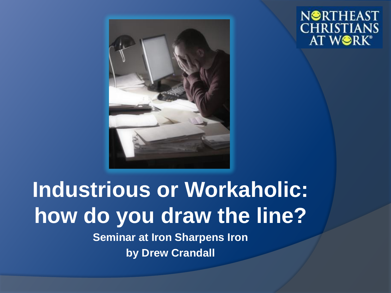



#### **Industrious or Workaholic: how do you draw the line? Seminar at Iron Sharpens Iron**

**by Drew Crandall**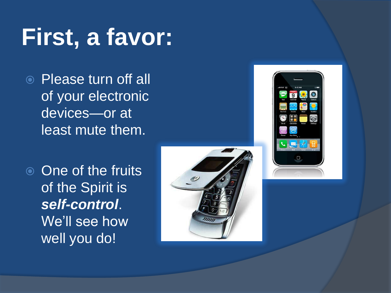# **First, a favor:**

 Please turn off all of your electronic devices—or at least mute them.

**◎** One of the fruits of the Spirit is *self-control*. We'll see how well you do!



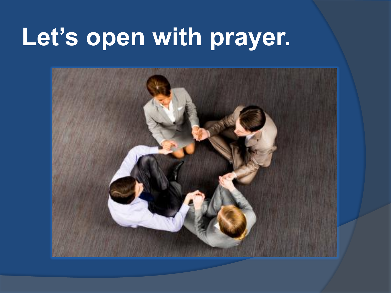# **Let's open with prayer.**

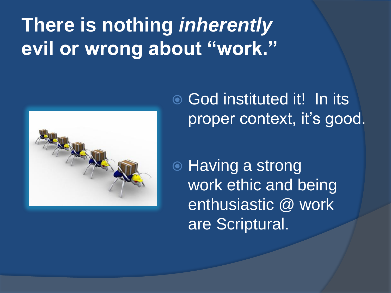## **There is nothing** *inherently* **evil or wrong about "work."**



**God instituted it! In its** proper context, it's good.

**◎ Having a strong** work ethic and being enthusiastic @ work are Scriptural.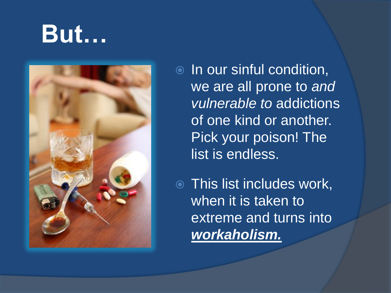## **But…**



**■** In our sinful condition, we are all prone to *and vulnerable to* addictions of one kind or another. Pick your poison! The list is endless.

 This list includes work, when it is taken to extreme and turns into *workaholism.*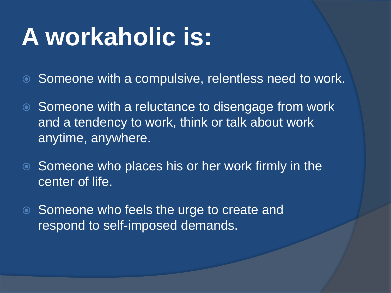# **A workaholic is:**

- **■** Someone with a compulsive, relentless need to work.
- **■** Someone with a reluctance to disengage from work and a tendency to work, think or talk about work anytime, anywhere.
- **Someone who places his or her work firmly in the** center of life.
- **Someone who feels the urge to create and** respond to self-imposed demands.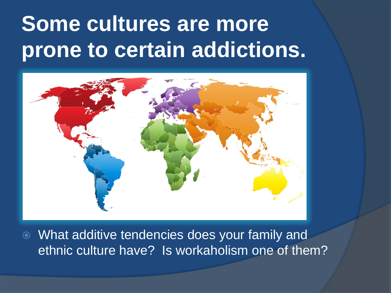## **Some cultures are more prone to certain addictions.**



 What additive tendencies does your family and ethnic culture have? Is workaholism one of them?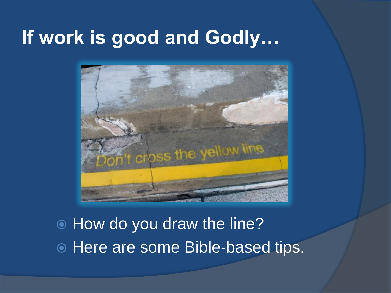#### **If work is good and Godly…**



 How do you draw the line?  $\circ$  Here are some Bible-based tips.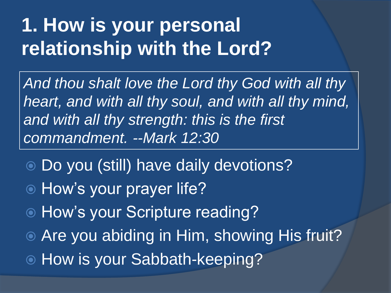#### **1. How is your personal relationship with the Lord?**

*And thou shalt love the Lord thy God with all thy heart, and with all thy soul, and with all thy mind, and with all thy strength: this is the first commandment. --Mark 12:30*

- Do you (still) have daily devotions?
- How's your prayer life?
- How's your Scripture reading?
- Are you abiding in Him, showing His fruit?
- How is your Sabbath-keeping?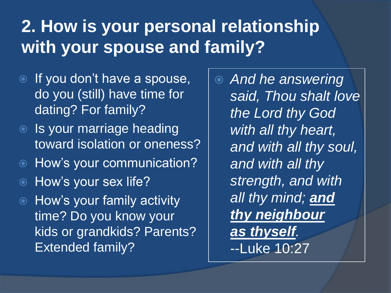#### **2. How is your personal relationship with your spouse and family?**

- If you don't have a spouse, do you (still) have time for dating? For family?
- **Is your marriage heading** toward isolation or oneness?
- How's your communication?
- **Example 2** How's your sex life?
- **How's your family activity** time? Do you know your kids or grandkids? Parents? Extended family?

 *And he answering said, Thou shalt love the Lord thy God with all thy heart, and with all thy soul, and with all thy strength, and with all thy mind; and thy neighbour as thyself.*  --Luke 10:27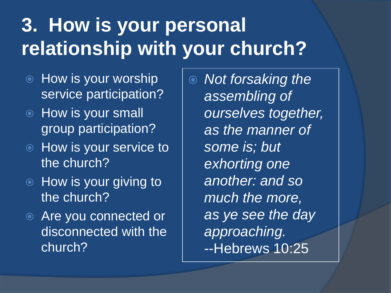## **3. How is your personal relationship with your church?**

- $\bullet$  How is your worship service participation?
- How is your small group participation?
- How is your service to the church?
- $\circ$  How is your giving to the church?
- Are you connected or disconnected with the church?

 *Not forsaking the assembling of ourselves together, as the manner of some is; but exhorting one another: and so much the more, as ye see the day approaching.*  --Hebrews 10:25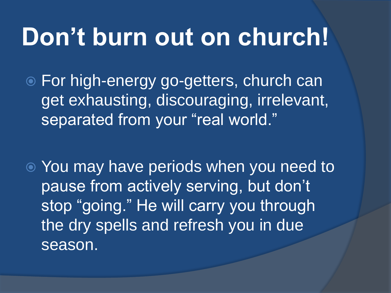## **Don't burn out on church!**

 For high-energy go-getters, church can get exhausting, discouraging, irrelevant, separated from your "real world."

 You may have periods when you need to pause from actively serving, but don't stop "going." He will carry you through the dry spells and refresh you in due season.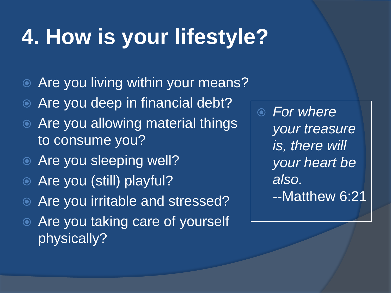## **4. How is your lifestyle?**

- Are you living within your means?
- Are you deep in financial debt?
- **Are you allowing material things** to consume you?
- **◎ Are you sleeping well?**
- Are you (still) playful?
- Are you irritable and stressed?
- **Example 2 Are you taking care of yourself** physically?

 *For where your treasure is, there will your heart be also.*  --Matthew 6:21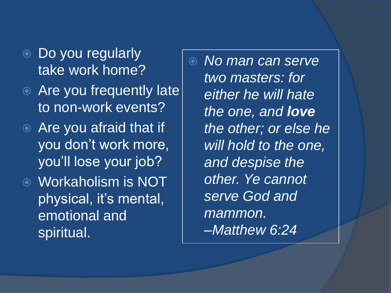- Do you regularly take work home?
- Are you frequently late to non-work events?
- Are you afraid that if you don't work more, you'll lose your job?
- Workaholism is NOT physical, it's mental, emotional and spiritual.

 *No man can serve two masters: for either he will hate the one, and love the other; or else he will hold to the one, and despise the other. Ye cannot serve God and mammon. –Matthew 6:24*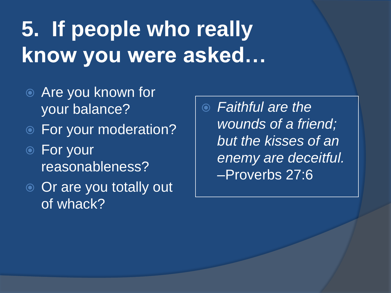## **5. If people who really know you were asked…**

- **Example 2 Are you known for** your balance?
- For your moderation?
- For your reasonableness?
- **◎** Or are you totally out of whack?

 *Faithful are the wounds of a friend; but the kisses of an enemy are deceitful.*  –Proverbs 27:6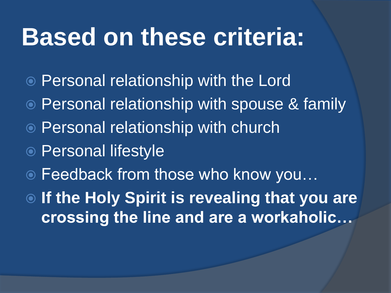## **Based on these criteria:**

- Personal relationship with the Lord
- Personal relationship with spouse & family
- Personal relationship with church
- Personal lifestyle
- Feedback from those who know you…

 **If the Holy Spirit is revealing that you are crossing the line and are a workaholic…**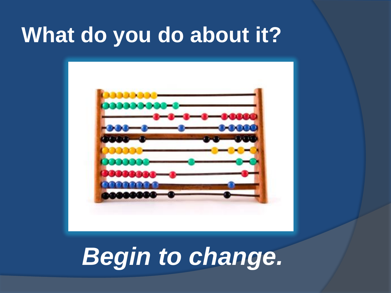## **What do you do about it?**



## *Begin to change.*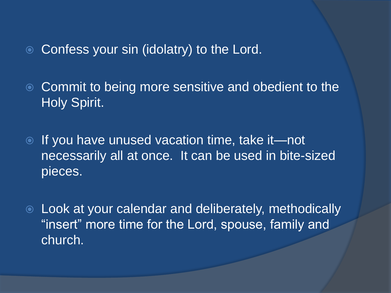**■ Confess your sin (idolatry) to the Lord.** 

**■ Commit to being more sensitive and obedient to the** Holy Spirit.

- **If you have unused vacation time, take it—not** necessarily all at once. It can be used in bite-sized pieces.
- Look at your calendar and deliberately, methodically "insert" more time for the Lord, spouse, family and church.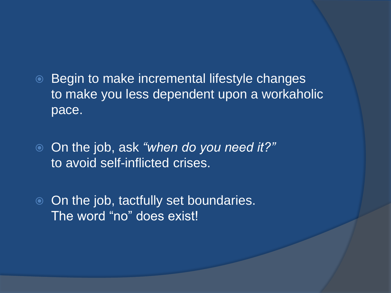- **Begin to make incremental lifestyle changes** to make you less dependent upon a workaholic pace.
- On the job, ask *"when do you need it?"*  to avoid self-inflicted crises.
- **◎** On the job, tactfully set boundaries. The word "no" does exist!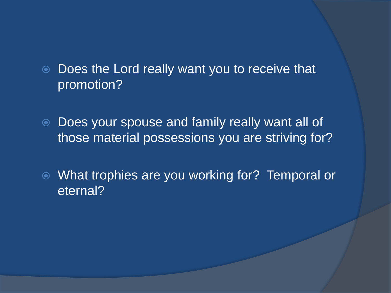- Does the Lord really want you to receive that promotion?
- Does your spouse and family really want all of those material possessions you are striving for?
- What trophies are you working for? Temporal or eternal?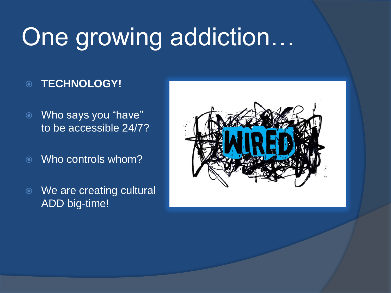# One growing addiction…

#### **TECHNOLOGY!**

- Who says you "have" to be accessible 24/7?
- Who controls whom?
- We are creating cultural ADD big-time!

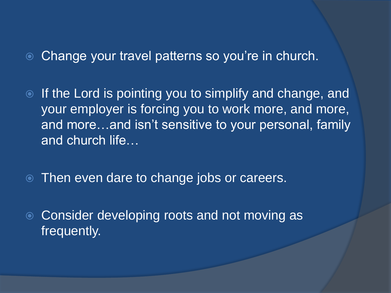- Change your travel patterns so you're in church.
- If the Lord is pointing you to simplify and change, and your employer is forcing you to work more, and more, and more…and isn't sensitive to your personal, family and church life…
- **Then even dare to change jobs or careers.**
- **Consider developing roots and not moving as** frequently.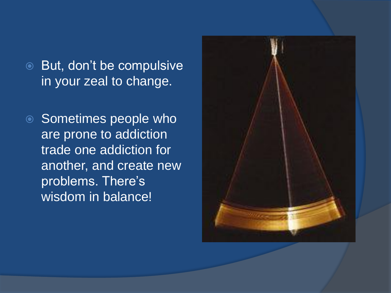- **But, don't be compulsive** in your zeal to change.
- Sometimes people who are prone to addiction trade one addiction for another, and create new problems. There's wisdom in balance!